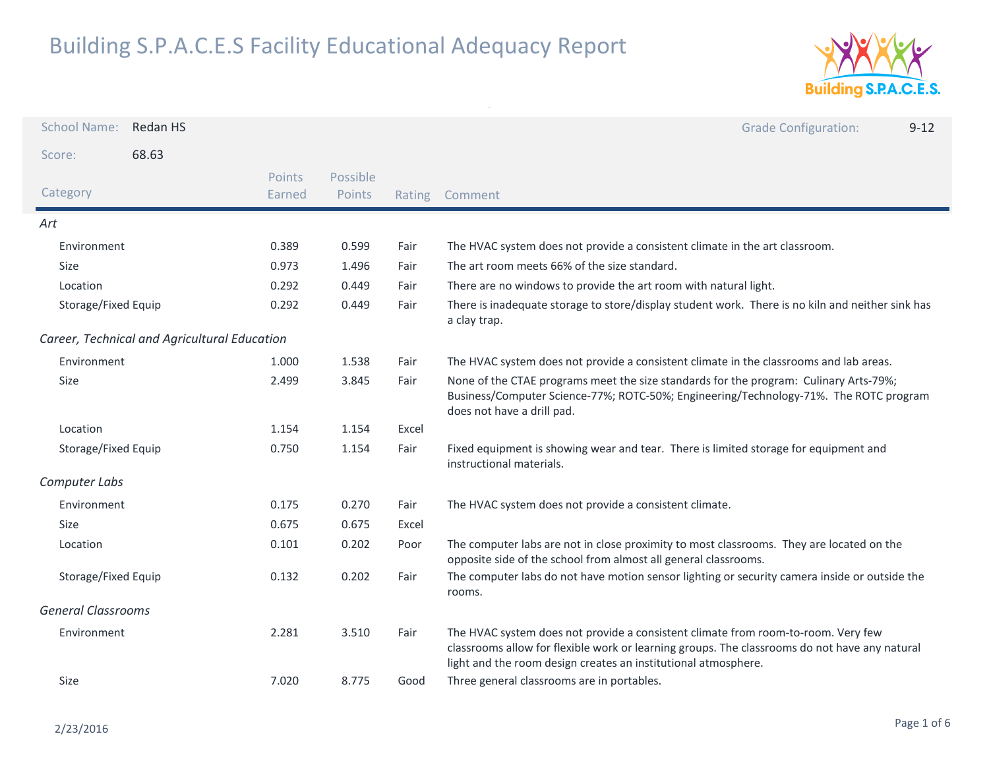

| <b>School Name:</b>       | Redan HS                                     |                  |                    |        | <b>Grade Configuration:</b><br>$9 - 12$                                                                                                                                                                                                              |
|---------------------------|----------------------------------------------|------------------|--------------------|--------|------------------------------------------------------------------------------------------------------------------------------------------------------------------------------------------------------------------------------------------------------|
| Score:                    | 68.63                                        |                  |                    |        |                                                                                                                                                                                                                                                      |
| Category                  |                                              | Points<br>Earned | Possible<br>Points | Rating | Comment                                                                                                                                                                                                                                              |
| Art                       |                                              |                  |                    |        |                                                                                                                                                                                                                                                      |
| Environment               |                                              | 0.389            | 0.599              | Fair   | The HVAC system does not provide a consistent climate in the art classroom.                                                                                                                                                                          |
| Size                      |                                              | 0.973            | 1.496              | Fair   | The art room meets 66% of the size standard.                                                                                                                                                                                                         |
| Location                  |                                              | 0.292            | 0.449              | Fair   | There are no windows to provide the art room with natural light.                                                                                                                                                                                     |
| Storage/Fixed Equip       |                                              | 0.292            | 0.449              | Fair   | There is inadequate storage to store/display student work. There is no kiln and neither sink has<br>a clay trap.                                                                                                                                     |
|                           | Career, Technical and Agricultural Education |                  |                    |        |                                                                                                                                                                                                                                                      |
| Environment               |                                              | 1.000            | 1.538              | Fair   | The HVAC system does not provide a consistent climate in the classrooms and lab areas.                                                                                                                                                               |
| Size                      |                                              | 2.499            | 3.845              | Fair   | None of the CTAE programs meet the size standards for the program: Culinary Arts-79%;<br>Business/Computer Science-77%; ROTC-50%; Engineering/Technology-71%. The ROTC program<br>does not have a drill pad.                                         |
| Location                  |                                              | 1.154            | 1.154              | Excel  |                                                                                                                                                                                                                                                      |
| Storage/Fixed Equip       |                                              | 0.750            | 1.154              | Fair   | Fixed equipment is showing wear and tear. There is limited storage for equipment and<br>instructional materials.                                                                                                                                     |
| Computer Labs             |                                              |                  |                    |        |                                                                                                                                                                                                                                                      |
| Environment               |                                              | 0.175            | 0.270              | Fair   | The HVAC system does not provide a consistent climate.                                                                                                                                                                                               |
| <b>Size</b>               |                                              | 0.675            | 0.675              | Excel  |                                                                                                                                                                                                                                                      |
| Location                  |                                              | 0.101            | 0.202              | Poor   | The computer labs are not in close proximity to most classrooms. They are located on the<br>opposite side of the school from almost all general classrooms.                                                                                          |
| Storage/Fixed Equip       |                                              | 0.132            | 0.202              | Fair   | The computer labs do not have motion sensor lighting or security camera inside or outside the<br>rooms.                                                                                                                                              |
| <b>General Classrooms</b> |                                              |                  |                    |        |                                                                                                                                                                                                                                                      |
| Environment               |                                              | 2.281            | 3.510              | Fair   | The HVAC system does not provide a consistent climate from room-to-room. Very few<br>classrooms allow for flexible work or learning groups. The classrooms do not have any natural<br>light and the room design creates an institutional atmosphere. |
| Size                      |                                              | 7.020            | 8.775              | Good   | Three general classrooms are in portables.                                                                                                                                                                                                           |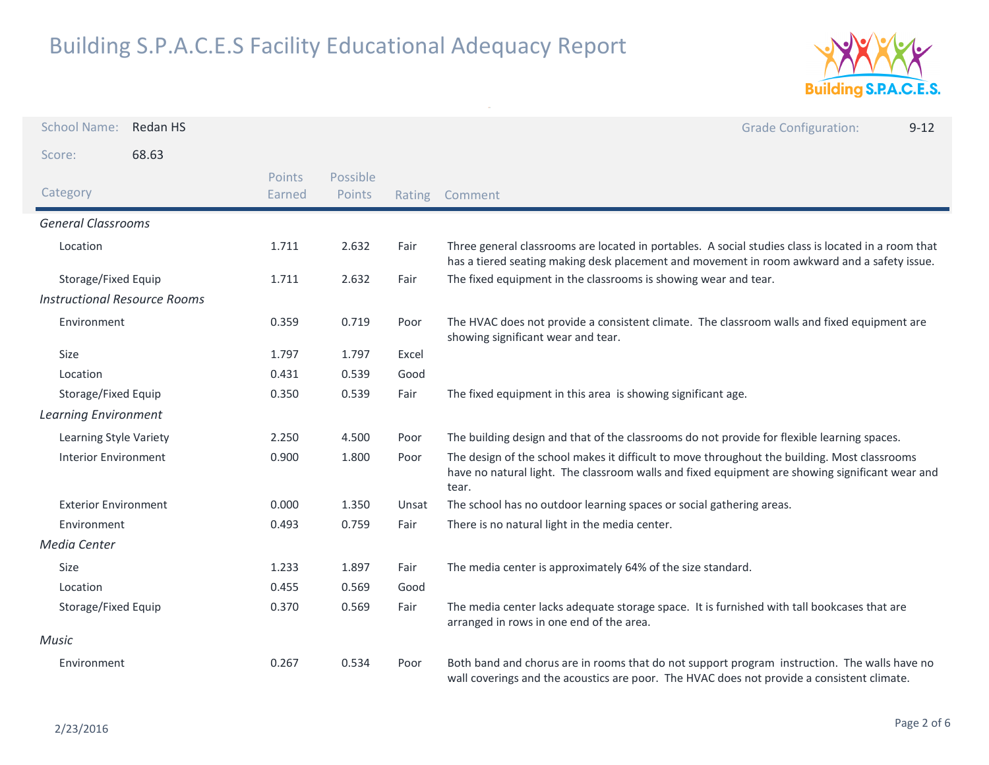

| <b>School Name:</b>                 | Redan HS |                  |                    |        | <b>Grade Configuration:</b><br>$9 - 12$                                                                                                                                                                  |
|-------------------------------------|----------|------------------|--------------------|--------|----------------------------------------------------------------------------------------------------------------------------------------------------------------------------------------------------------|
| Score:                              | 68.63    |                  |                    |        |                                                                                                                                                                                                          |
| Category                            |          | Points<br>Earned | Possible<br>Points | Rating | Comment                                                                                                                                                                                                  |
| <b>General Classrooms</b>           |          |                  |                    |        |                                                                                                                                                                                                          |
| Location                            |          | 1.711            | 2.632              | Fair   | Three general classrooms are located in portables. A social studies class is located in a room that<br>has a tiered seating making desk placement and movement in room awkward and a safety issue.       |
| Storage/Fixed Equip                 |          | 1.711            | 2.632              | Fair   | The fixed equipment in the classrooms is showing wear and tear.                                                                                                                                          |
| <b>Instructional Resource Rooms</b> |          |                  |                    |        |                                                                                                                                                                                                          |
| Environment                         |          | 0.359            | 0.719              | Poor   | The HVAC does not provide a consistent climate. The classroom walls and fixed equipment are<br>showing significant wear and tear.                                                                        |
| Size                                |          | 1.797            | 1.797              | Excel  |                                                                                                                                                                                                          |
| Location                            |          | 0.431            | 0.539              | Good   |                                                                                                                                                                                                          |
| Storage/Fixed Equip                 |          | 0.350            | 0.539              | Fair   | The fixed equipment in this area is showing significant age.                                                                                                                                             |
| <b>Learning Environment</b>         |          |                  |                    |        |                                                                                                                                                                                                          |
| Learning Style Variety              |          | 2.250            | 4.500              | Poor   | The building design and that of the classrooms do not provide for flexible learning spaces.                                                                                                              |
| <b>Interior Environment</b>         |          | 0.900            | 1.800              | Poor   | The design of the school makes it difficult to move throughout the building. Most classrooms<br>have no natural light. The classroom walls and fixed equipment are showing significant wear and<br>tear. |
| <b>Exterior Environment</b>         |          | 0.000            | 1.350              | Unsat  | The school has no outdoor learning spaces or social gathering areas.                                                                                                                                     |
| Environment                         |          | 0.493            | 0.759              | Fair   | There is no natural light in the media center.                                                                                                                                                           |
| Media Center                        |          |                  |                    |        |                                                                                                                                                                                                          |
| <b>Size</b>                         |          | 1.233            | 1.897              | Fair   | The media center is approximately 64% of the size standard.                                                                                                                                              |
| Location                            |          | 0.455            | 0.569              | Good   |                                                                                                                                                                                                          |
| Storage/Fixed Equip                 |          | 0.370            | 0.569              | Fair   | The media center lacks adequate storage space. It is furnished with tall bookcases that are<br>arranged in rows in one end of the area.                                                                  |
| Music                               |          |                  |                    |        |                                                                                                                                                                                                          |
| Environment                         |          | 0.267            | 0.534              | Poor   | Both band and chorus are in rooms that do not support program instruction. The walls have no<br>wall coverings and the acoustics are poor. The HVAC does not provide a consistent climate.               |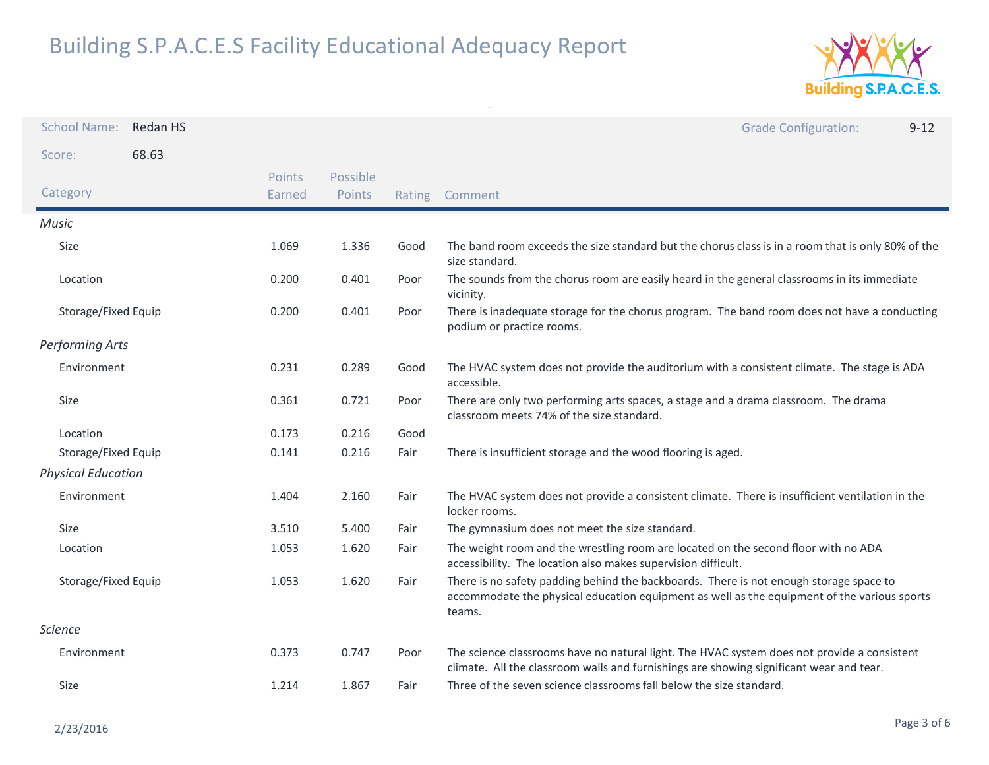

| <b>School Name:</b>       | Redan HS |                  |                    |        | <b>Grade Configuration:</b><br>$9 - 12$                                                                                                                                                         |
|---------------------------|----------|------------------|--------------------|--------|-------------------------------------------------------------------------------------------------------------------------------------------------------------------------------------------------|
| Score:                    | 68.63    |                  |                    |        |                                                                                                                                                                                                 |
| Category                  |          | Points<br>Earned | Possible<br>Points | Rating | Comment                                                                                                                                                                                         |
| <b>Music</b>              |          |                  |                    |        |                                                                                                                                                                                                 |
| Size                      |          | 1.069            | 1.336              | Good   | The band room exceeds the size standard but the chorus class is in a room that is only 80% of the<br>size standard.                                                                             |
| Location                  |          | 0.200            | 0.401              | Poor   | The sounds from the chorus room are easily heard in the general classrooms in its immediate<br>vicinity.                                                                                        |
| Storage/Fixed Equip       |          | 0.200            | 0.401              | Poor   | There is inadequate storage for the chorus program. The band room does not have a conducting<br>podium or practice rooms.                                                                       |
| Performing Arts           |          |                  |                    |        |                                                                                                                                                                                                 |
| Environment               |          | 0.231            | 0.289              | Good   | The HVAC system does not provide the auditorium with a consistent climate. The stage is ADA<br>accessible.                                                                                      |
| Size                      |          | 0.361            | 0.721              | Poor   | There are only two performing arts spaces, a stage and a drama classroom. The drama<br>classroom meets 74% of the size standard.                                                                |
| Location                  |          | 0.173            | 0.216              | Good   |                                                                                                                                                                                                 |
| Storage/Fixed Equip       |          | 0.141            | 0.216              | Fair   | There is insufficient storage and the wood flooring is aged.                                                                                                                                    |
| <b>Physical Education</b> |          |                  |                    |        |                                                                                                                                                                                                 |
| Environment               |          | 1.404            | 2.160              | Fair   | The HVAC system does not provide a consistent climate. There is insufficient ventilation in the<br>locker rooms.                                                                                |
| <b>Size</b>               |          | 3.510            | 5.400              | Fair   | The gymnasium does not meet the size standard.                                                                                                                                                  |
| Location                  |          | 1.053            | 1.620              | Fair   | The weight room and the wrestling room are located on the second floor with no ADA<br>accessibility. The location also makes supervision difficult.                                             |
| Storage/Fixed Equip       |          | 1.053            | 1.620              | Fair   | There is no safety padding behind the backboards. There is not enough storage space to<br>accommodate the physical education equipment as well as the equipment of the various sports<br>teams. |
| <b>Science</b>            |          |                  |                    |        |                                                                                                                                                                                                 |
| Environment               |          | 0.373            | 0.747              | Poor   | The science classrooms have no natural light. The HVAC system does not provide a consistent<br>climate. All the classroom walls and furnishings are showing significant wear and tear.          |
| <b>Size</b>               |          | 1.214            | 1.867              | Fair   | Three of the seven science classrooms fall below the size standard.                                                                                                                             |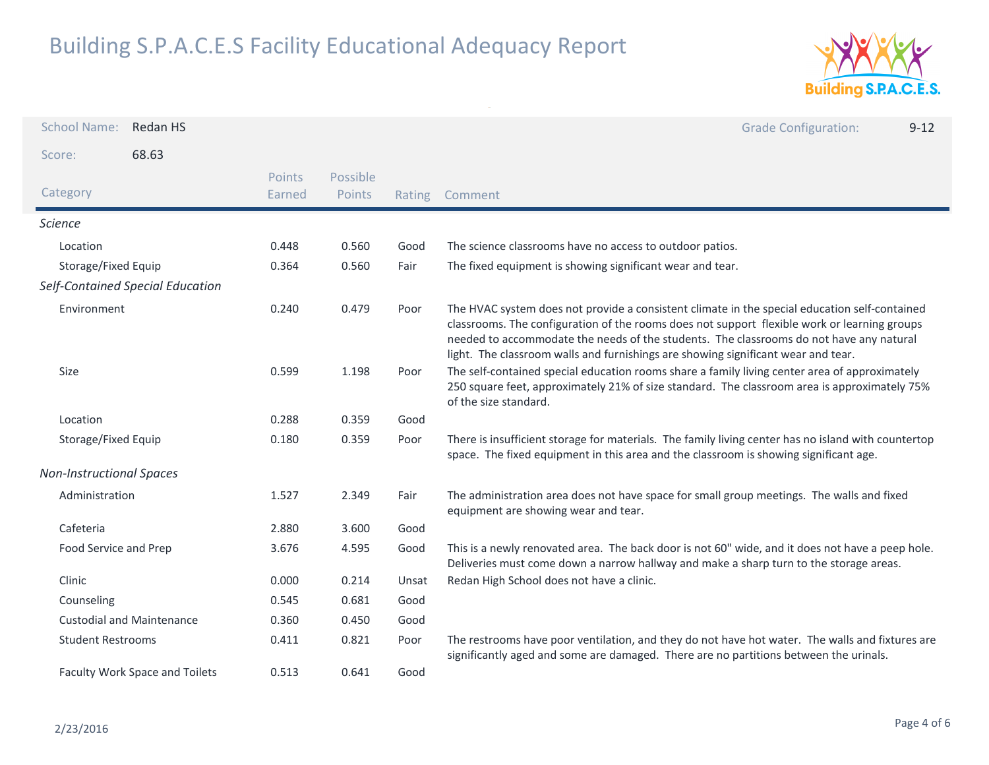

| <b>School Name:</b>             | <b>Redan HS</b>                  |                         |                    |        | <b>Grade Configuration:</b><br>$9 - 12$                                                                                                                                                                                                                                                                                                                                       |
|---------------------------------|----------------------------------|-------------------------|--------------------|--------|-------------------------------------------------------------------------------------------------------------------------------------------------------------------------------------------------------------------------------------------------------------------------------------------------------------------------------------------------------------------------------|
| Score:                          | 68.63                            |                         |                    |        |                                                                                                                                                                                                                                                                                                                                                                               |
| Category                        |                                  | <b>Points</b><br>Earned | Possible<br>Points | Rating | Comment                                                                                                                                                                                                                                                                                                                                                                       |
| <b>Science</b>                  |                                  |                         |                    |        |                                                                                                                                                                                                                                                                                                                                                                               |
| Location                        |                                  | 0.448                   | 0.560              | Good   | The science classrooms have no access to outdoor patios.                                                                                                                                                                                                                                                                                                                      |
| Storage/Fixed Equip             |                                  | 0.364                   | 0.560              | Fair   | The fixed equipment is showing significant wear and tear.                                                                                                                                                                                                                                                                                                                     |
|                                 | Self-Contained Special Education |                         |                    |        |                                                                                                                                                                                                                                                                                                                                                                               |
| Environment                     |                                  | 0.240                   | 0.479              | Poor   | The HVAC system does not provide a consistent climate in the special education self-contained<br>classrooms. The configuration of the rooms does not support flexible work or learning groups<br>needed to accommodate the needs of the students. The classrooms do not have any natural<br>light. The classroom walls and furnishings are showing significant wear and tear. |
| Size                            |                                  | 0.599                   | 1.198              | Poor   | The self-contained special education rooms share a family living center area of approximately<br>250 square feet, approximately 21% of size standard. The classroom area is approximately 75%<br>of the size standard.                                                                                                                                                        |
| Location                        |                                  | 0.288                   | 0.359              | Good   |                                                                                                                                                                                                                                                                                                                                                                               |
| Storage/Fixed Equip             |                                  | 0.180                   | 0.359              | Poor   | There is insufficient storage for materials. The family living center has no island with countertop<br>space. The fixed equipment in this area and the classroom is showing significant age.                                                                                                                                                                                  |
| <b>Non-Instructional Spaces</b> |                                  |                         |                    |        |                                                                                                                                                                                                                                                                                                                                                                               |
| Administration                  |                                  | 1.527                   | 2.349              | Fair   | The administration area does not have space for small group meetings. The walls and fixed<br>equipment are showing wear and tear.                                                                                                                                                                                                                                             |
| Cafeteria                       |                                  | 2.880                   | 3.600              | Good   |                                                                                                                                                                                                                                                                                                                                                                               |
| Food Service and Prep           |                                  | 3.676                   | 4.595              | Good   | This is a newly renovated area. The back door is not 60" wide, and it does not have a peep hole.<br>Deliveries must come down a narrow hallway and make a sharp turn to the storage areas.                                                                                                                                                                                    |
| Clinic                          |                                  | 0.000                   | 0.214              | Unsat  | Redan High School does not have a clinic.                                                                                                                                                                                                                                                                                                                                     |
| Counseling                      |                                  | 0.545                   | 0.681              | Good   |                                                                                                                                                                                                                                                                                                                                                                               |
|                                 | <b>Custodial and Maintenance</b> | 0.360                   | 0.450              | Good   |                                                                                                                                                                                                                                                                                                                                                                               |
| <b>Student Restrooms</b>        |                                  | 0.411                   | 0.821              | Poor   | The restrooms have poor ventilation, and they do not have hot water. The walls and fixtures are<br>significantly aged and some are damaged. There are no partitions between the urinals.                                                                                                                                                                                      |
|                                 | Faculty Work Space and Toilets   | 0.513                   | 0.641              | Good   |                                                                                                                                                                                                                                                                                                                                                                               |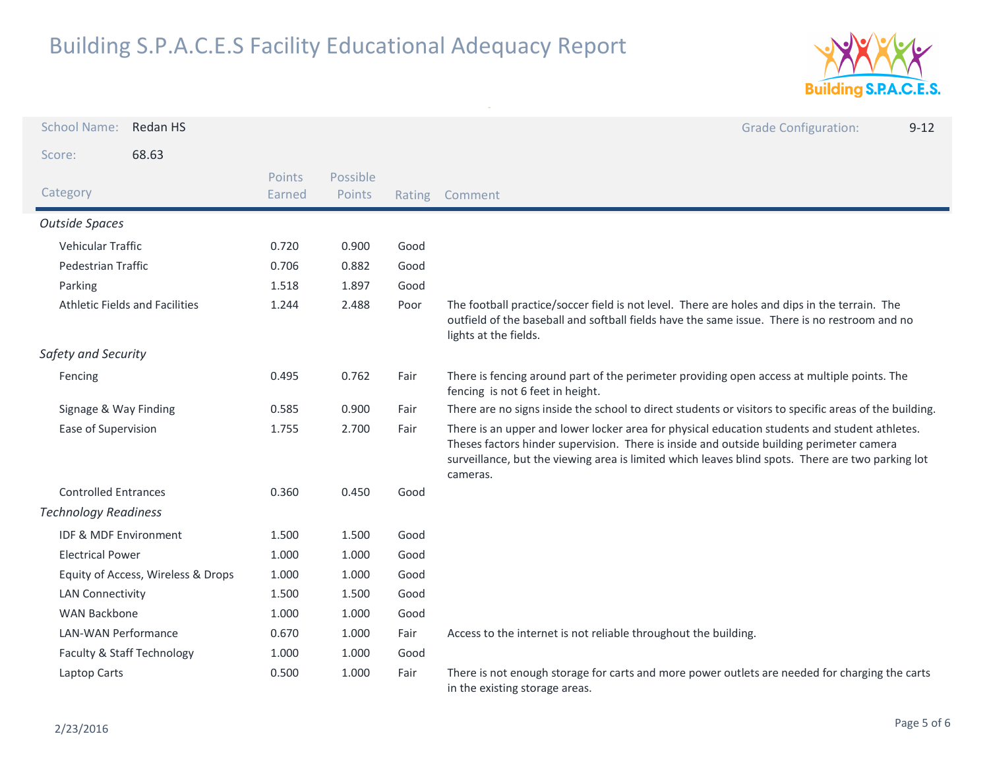

| <b>School Name:</b>                   | Redan HS                   |                  |                    |      | <b>Grade Configuration:</b><br>$9 - 12$                                                                                                                                                                                                                                                                    |
|---------------------------------------|----------------------------|------------------|--------------------|------|------------------------------------------------------------------------------------------------------------------------------------------------------------------------------------------------------------------------------------------------------------------------------------------------------------|
| Score:                                | 68.63                      |                  |                    |      |                                                                                                                                                                                                                                                                                                            |
| Category                              |                            | Points<br>Earned | Possible<br>Points |      | Rating Comment                                                                                                                                                                                                                                                                                             |
| <b>Outside Spaces</b>                 |                            |                  |                    |      |                                                                                                                                                                                                                                                                                                            |
| Vehicular Traffic                     |                            | 0.720            | 0.900              | Good |                                                                                                                                                                                                                                                                                                            |
| <b>Pedestrian Traffic</b>             |                            | 0.706            | 0.882              | Good |                                                                                                                                                                                                                                                                                                            |
| Parking                               |                            | 1.518            | 1.897              | Good |                                                                                                                                                                                                                                                                                                            |
| <b>Athletic Fields and Facilities</b> |                            | 1.244            | 2.488              | Poor | The football practice/soccer field is not level. There are holes and dips in the terrain. The<br>outfield of the baseball and softball fields have the same issue. There is no restroom and no<br>lights at the fields.                                                                                    |
| Safety and Security                   |                            |                  |                    |      |                                                                                                                                                                                                                                                                                                            |
| Fencing                               |                            | 0.495            | 0.762              | Fair | There is fencing around part of the perimeter providing open access at multiple points. The<br>fencing is not 6 feet in height.                                                                                                                                                                            |
| Signage & Way Finding                 |                            | 0.585            | 0.900              | Fair | There are no signs inside the school to direct students or visitors to specific areas of the building.                                                                                                                                                                                                     |
| Ease of Supervision                   |                            | 1.755            | 2.700              | Fair | There is an upper and lower locker area for physical education students and student athletes.<br>Theses factors hinder supervision. There is inside and outside building perimeter camera<br>surveillance, but the viewing area is limited which leaves blind spots. There are two parking lot<br>cameras. |
| <b>Controlled Entrances</b>           |                            | 0.360            | 0.450              | Good |                                                                                                                                                                                                                                                                                                            |
| <b>Technology Readiness</b>           |                            |                  |                    |      |                                                                                                                                                                                                                                                                                                            |
| <b>IDF &amp; MDF Environment</b>      |                            | 1.500            | 1.500              | Good |                                                                                                                                                                                                                                                                                                            |
| <b>Electrical Power</b>               |                            | 1.000            | 1.000              | Good |                                                                                                                                                                                                                                                                                                            |
| Equity of Access, Wireless & Drops    |                            | 1.000            | 1.000              | Good |                                                                                                                                                                                                                                                                                                            |
| <b>LAN Connectivity</b>               |                            | 1.500            | 1.500              | Good |                                                                                                                                                                                                                                                                                                            |
| <b>WAN Backbone</b>                   |                            | 1.000            | 1.000              | Good |                                                                                                                                                                                                                                                                                                            |
| LAN-WAN Performance                   |                            | 0.670            | 1.000              | Fair | Access to the internet is not reliable throughout the building.                                                                                                                                                                                                                                            |
|                                       | Faculty & Staff Technology | 1.000            | 1.000              | Good |                                                                                                                                                                                                                                                                                                            |
| Laptop Carts                          |                            | 0.500            | 1.000              | Fair | There is not enough storage for carts and more power outlets are needed for charging the carts<br>in the existing storage areas.                                                                                                                                                                           |